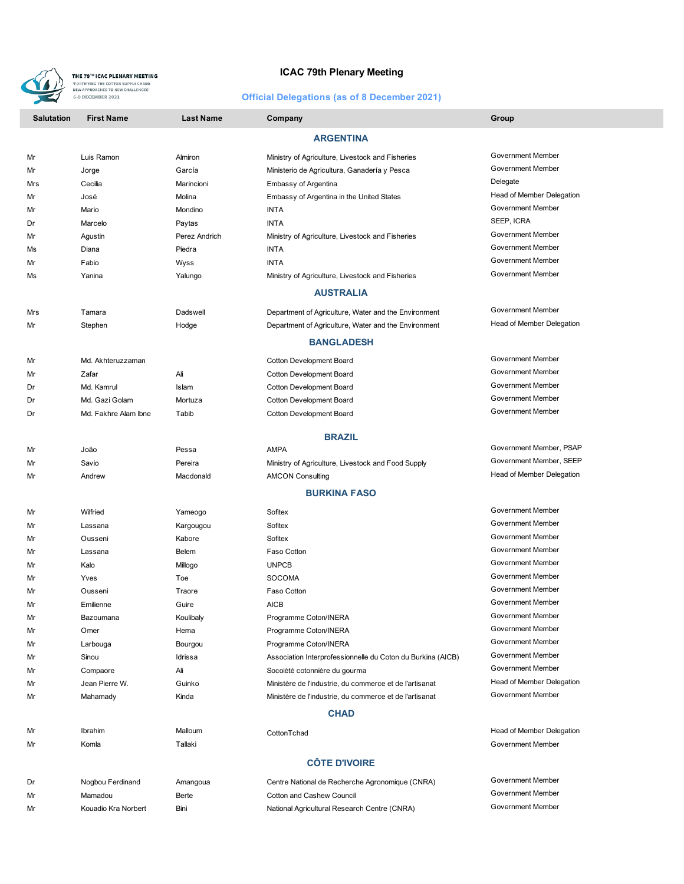

## **ICAC 79th Plenary Meeting**

## **Official Delegations (as of 8 December 2021)**

| <b>Salutation</b> | <b>First Name</b>    | <b>Last Name</b> | Company                                                     | Group                     |  |  |
|-------------------|----------------------|------------------|-------------------------------------------------------------|---------------------------|--|--|
| <b>ARGENTINA</b>  |                      |                  |                                                             |                           |  |  |
| Mr                | Luis Ramon           | Almiron          | Ministry of Agriculture, Livestock and Fisheries            | Government Member         |  |  |
| Mr                | Jorge                | García           | Ministerio de Agricultura, Ganadería y Pesca                | Government Member         |  |  |
| Mrs               | Cecilia              | Marincioni       | Embassy of Argentina                                        | Delegate                  |  |  |
| Mr                | José                 | Molina           | Embassy of Argentina in the United States                   | Head of Member Delegation |  |  |
| Mr                | Mario                | Mondino          | <b>INTA</b>                                                 | Government Member         |  |  |
| Dr                | Marcelo              | Paytas           | <b>INTA</b>                                                 | SEEP, ICRA                |  |  |
| Mr                | Agustin              | Perez Andrich    | Ministry of Agriculture, Livestock and Fisheries            | Government Member         |  |  |
| Ms                | Diana                | Piedra           | <b>INTA</b>                                                 | Government Member         |  |  |
| Mr                | Fabio                | Wyss             | <b>INTA</b>                                                 | Government Member         |  |  |
| Ms                | Yanina               | Yalungo          | Ministry of Agriculture, Livestock and Fisheries            | Government Member         |  |  |
|                   |                      |                  | <b>AUSTRALIA</b>                                            |                           |  |  |
| Mrs               | Tamara               | Dadswell         | Department of Agriculture, Water and the Environment        | Government Member         |  |  |
| Mr                | Stephen              | Hodge            | Department of Agriculture, Water and the Environment        | Head of Member Delegation |  |  |
|                   |                      |                  | <b>BANGLADESH</b>                                           |                           |  |  |
|                   |                      |                  |                                                             |                           |  |  |
| Mr                | Md. Akhteruzzaman    |                  | <b>Cotton Development Board</b>                             | Government Member         |  |  |
| Mr                | Zafar                | Ali              | <b>Cotton Development Board</b>                             | <b>Government Member</b>  |  |  |
| Dr                | Md. Kamrul           | Islam            | Cotton Development Board                                    | Government Member         |  |  |
| Dr                | Md. Gazi Golam       | Mortuza          | Cotton Development Board                                    | Government Member         |  |  |
| Dr                | Md. Fakhre Alam Ibne | Tabib            | Cotton Development Board                                    | Government Member         |  |  |
|                   |                      |                  | <b>BRAZIL</b>                                               |                           |  |  |
| Mr                | João                 | Pessa            | <b>AMPA</b>                                                 | Government Member, PSAP   |  |  |
| Mr                | Savio                | Pereira          | Ministry of Agriculture, Livestock and Food Supply          | Government Member, SEEP   |  |  |
| Mr                | Andrew               | Macdonald        | <b>AMCON Consulting</b>                                     | Head of Member Delegation |  |  |
|                   |                      |                  | <b>BURKINA FASO</b>                                         |                           |  |  |
| Mr                | Wilfried             | Yameogo          | Sofitex                                                     | Government Member         |  |  |
| Mr                | Lassana              | Kargougou        | Sofitex                                                     | Government Member         |  |  |
| Mr                | Ousseni              | Kabore           | Sofitex                                                     | Government Member         |  |  |
| Mr                | Lassana              | Belem            | Faso Cotton                                                 | Government Member         |  |  |
| Mr                | Kalo                 | Millogo          | <b>UNPCB</b>                                                | Government Member         |  |  |
| Mr                | Yves                 | Toe              | <b>SOCOMA</b>                                               | Government Member         |  |  |
| Mr                | Ousseni              | Traore           | Faso Cotton                                                 | Government Member         |  |  |
| Mr                | Emilienne            | Guire            | <b>AICB</b>                                                 | Government Member         |  |  |
| Mr                | Bazoumana            | Koulibaly        | Programme Coton/INERA                                       | Government Member         |  |  |
| Mr                | Omer                 | Hema             | Programme Coton/INERA                                       | Government Member         |  |  |
| Mr                | Larbouga             | Bourgou          | Programme Coton/INERA                                       | Government Member         |  |  |
| Mr                | Sinou                | Idrissa          | Association Interprofessionnelle du Coton du Burkina (AICB) | Government Member         |  |  |
| Mr                | Compaore             | Ali              | Socoiété cotonnière du gourma                               | <b>Government Member</b>  |  |  |
| Mr                | Jean Pierre W.       | Guinko           | Ministère de l'industrie, du commerce et de l'artisanat     | Head of Member Delegation |  |  |
| Mr                | Mahamady             | Kinda            | Ministère de l'industrie, du commerce et de l'artisanat     | <b>Government Member</b>  |  |  |
| <b>CHAD</b>       |                      |                  |                                                             |                           |  |  |
| Mr                | Ibrahim              | Malloum          | CottonTchad                                                 | Head of Member Delegation |  |  |
| Mr                | Komla                | Tallaki          |                                                             | Government Member         |  |  |
|                   |                      |                  | <b>CÔTE D'IVOIRE</b>                                        |                           |  |  |
| Dr                | Nogbou Ferdinand     | Amangoua         | Centre National de Recherche Agronomique (CNRA)             | Government Member         |  |  |
| Mr                | Mamadou              | Berte            | <b>Cotton and Cashew Council</b>                            | Government Member         |  |  |
| Mr                | Kouadio Kra Norbert  | Bini             | National Agricultural Research Centre (CNRA)                | Government Member         |  |  |
|                   |                      |                  |                                                             |                           |  |  |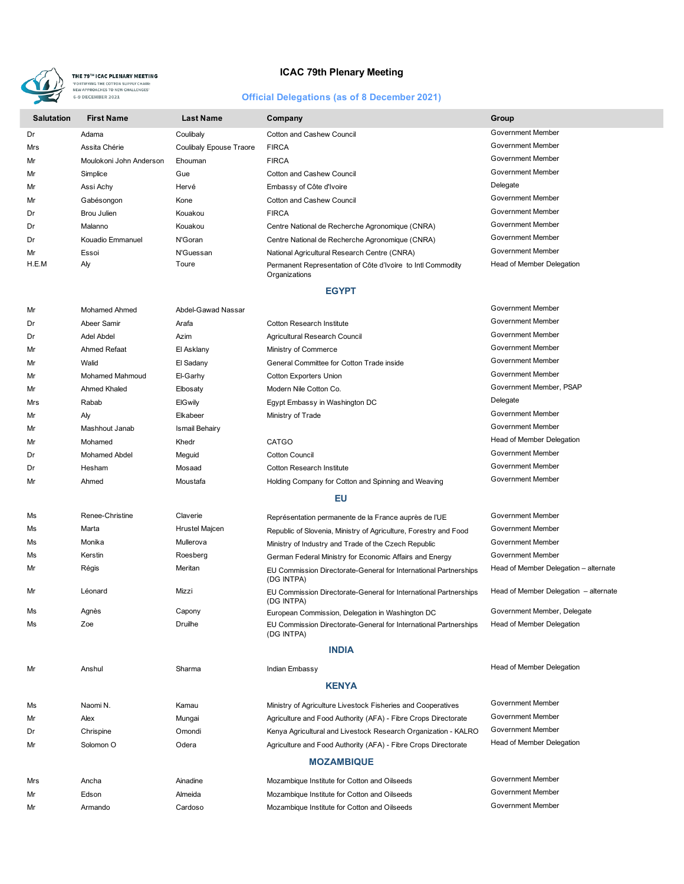

**ICAC 79th Plenary Meeting**

## **Official Delegations (as of 8 December 2021)**

| <b>Salutation</b> | <b>First Name</b>       | <b>Last Name</b>        | Company                                                                      | Group                     |
|-------------------|-------------------------|-------------------------|------------------------------------------------------------------------------|---------------------------|
| Dr                | Adama                   | Coulibaly               | Cotton and Cashew Council                                                    | Government Member         |
| Mrs               | Assita Chérie           | Coulibaly Epouse Traore | <b>FIRCA</b>                                                                 | Government Member         |
| Mr                | Moulokoni John Anderson | Ehouman                 | <b>FIRCA</b>                                                                 | Government Member         |
| Mr                | Simplice                | Gue                     | Cotton and Cashew Council                                                    | Government Member         |
| Mr                | Assi Achy               | Hervé                   | Embassy of Côte d'Ivoire                                                     | Delegate                  |
| Mr                | Gabésongon              | Kone                    | Cotton and Cashew Council                                                    | Government Member         |
| Dr                | Brou Julien             | Kouakou                 | <b>FIRCA</b>                                                                 | Government Member         |
| Dr                | Malanno                 | Kouakou                 | Centre National de Recherche Agronomique (CNRA)                              | Government Member         |
| Dr                | Kouadio Emmanuel        | N'Goran                 | Centre National de Recherche Agronomique (CNRA)                              | Government Member         |
| Mr                | Essoi                   | N'Guessan               | National Agricultural Research Centre (CNRA)                                 | Government Member         |
| H.E.M             | Aly                     | Toure                   | Permanent Representation of Côte d'Ivoire to Intl Commodity<br>Organizations | Head of Member Delegation |

### **EGYPT**

| Mr  | Mohamed Ahmed        | Abdel-Gawad Nassar |                                                                                | Government Member                     |
|-----|----------------------|--------------------|--------------------------------------------------------------------------------|---------------------------------------|
| Dr  | Abeer Samir          | Arafa              | <b>Cotton Research Institute</b>                                               | <b>Government Member</b>              |
| Dr  | Adel Abdel           | Azim               | Agricultural Research Council                                                  | Government Member                     |
| Mr  | Ahmed Refaat         | El Asklany         | Ministry of Commerce                                                           | Government Member                     |
| Mr  | Walid                | El Sadany          | General Committee for Cotton Trade inside                                      | Government Member                     |
| Mr  | Mohamed Mahmoud      | El-Garhy           | <b>Cotton Exporters Union</b>                                                  | Government Member                     |
| Mr  | Ahmed Khaled         | Elbosaty           | Modern Nile Cotton Co.                                                         | Government Member, PSAP               |
| Mrs | Rabab                | <b>ElGwily</b>     | Egypt Embassy in Washington DC                                                 | Delegate                              |
| Mr  | Aly                  | Elkabeer           | Ministry of Trade                                                              | Government Member                     |
| Mr  | Mashhout Janab       | Ismail Behairy     |                                                                                | Government Member                     |
| Mr  | Mohamed              | Khedr              | CATGO                                                                          | Head of Member Delegation             |
| Dr  | <b>Mohamed Abdel</b> | Meguid             | <b>Cotton Council</b>                                                          | <b>Government Member</b>              |
| Dr  | Hesham               | Mosaad             | <b>Cotton Research Institute</b>                                               | Government Member                     |
| Mr  | Ahmed                | Moustafa           | Holding Company for Cotton and Spinning and Weaving                            | Government Member                     |
|     |                      |                    | EU                                                                             |                                       |
| Ms  | Renee-Christine      | Claverie           | Représentation permanente de la France auprès de l'UE                          | Government Member                     |
| Ms  | Marta                | Hrustel Majcen     | Republic of Slovenia, Ministry of Agriculture, Forestry and Food               | <b>Government Member</b>              |
| Ms  | Monika               | Mullerova          | Ministry of Industry and Trade of the Czech Republic                           | Government Member                     |
| Ms  | Kerstin              | Roesberg           | German Federal Ministry for Economic Affairs and Energy                        | Government Member                     |
| Mr  | Régis                | Meritan            | EU Commission Directorate-General for International Partnerships<br>(DG INTPA) | Head of Member Delegation - alternate |
| Mr  | Léonard              | Mizzi              | EU Commission Directorate-General for International Partnerships<br>(DG INTPA) | Head of Member Delegation - alternate |
| Ms  | Agnès                | Capony             | European Commission, Delegation in Washington DC                               | Government Member, Delegate           |
| Ms  | Zoe                  | <b>Druilhe</b>     | EU Commission Directorate-General for International Partnerships<br>(DG INTPA) | Head of Member Delegation             |
|     |                      |                    | <b>INDIA</b>                                                                   |                                       |
| Mr  | Anshul               | Sharma             | Indian Embassy                                                                 | Head of Member Delegation             |
|     |                      |                    | <b>KENYA</b>                                                                   |                                       |
| Ms  | Naomi N.             | Kamau              | Ministry of Agriculture Livestock Fisheries and Cooperatives                   | Government Member                     |
| Mr  | Alex                 | Mungai             | Agriculture and Food Authority (AFA) - Fibre Crops Directorate                 | Government Member                     |
| Dr  | Chrispine            | Omondi             | Kenya Agricultural and Livestock Research Organization - KALRO                 | Government Member                     |
| Mr  | Solomon <sub>O</sub> | Odera              | Agriculture and Food Authority (AFA) - Fibre Crops Directorate                 | Head of Member Delegation             |
|     |                      |                    | <b>MOZAMBIQUE</b>                                                              |                                       |
| Mrs | Ancha                | Ainadine           | Mozambique Institute for Cotton and Oilseeds                                   | Government Member                     |
| Mr  | Edson                | Almeida            | Mozambique Institute for Cotton and Oilseeds                                   | <b>Government Member</b>              |
| Mr  | Armando              | Cardoso            | Mozambique Institute for Cotton and Oilseeds                                   | Government Member                     |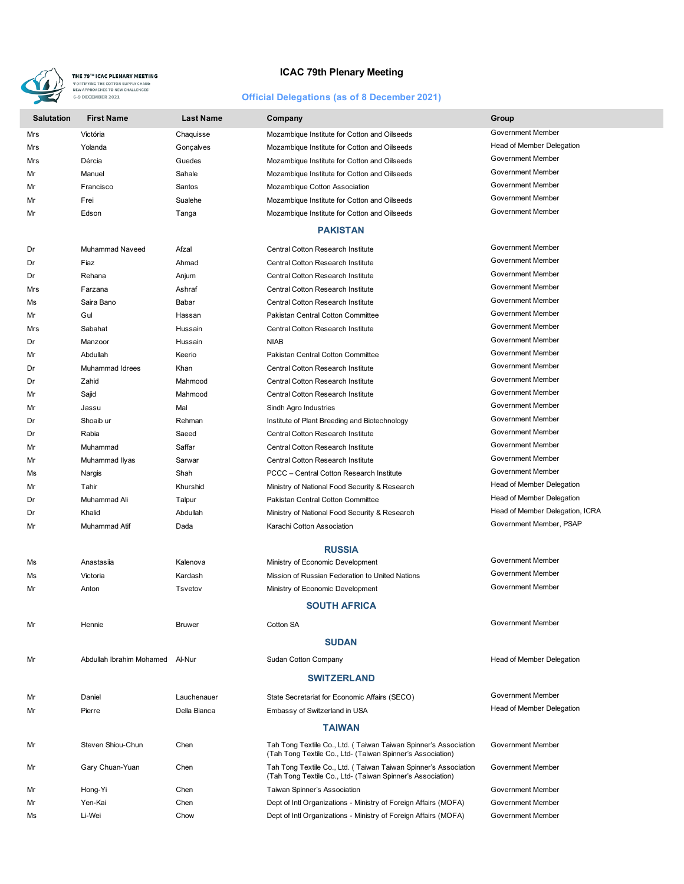

## **ICAC 79th Plenary Meeting**

# **Official Delegations (as of 8 December 2021)**

| <b>Salutation</b> | <b>First Name</b>               | <b>Last Name</b> | Company                                                                                                                       | Group                           |
|-------------------|---------------------------------|------------------|-------------------------------------------------------------------------------------------------------------------------------|---------------------------------|
| Mrs               | Victória                        | Chaquisse        | Mozambique Institute for Cotton and Oilseeds                                                                                  | Government Member               |
| Mrs               | Yolanda                         | Goncalves        | Mozambique Institute for Cotton and Oilseeds                                                                                  | Head of Member Delegation       |
| Mrs               | Dércia                          | Guedes           | Mozambique Institute for Cotton and Oilseeds                                                                                  | Government Member               |
| Mr                | Manuel                          | Sahale           | Mozambique Institute for Cotton and Oilseeds                                                                                  | Government Member               |
| Mr                | Francisco                       | Santos           | Mozambique Cotton Association                                                                                                 | Government Member               |
| Mr                | Frei                            | Sualehe          | Mozambique Institute for Cotton and Oilseeds                                                                                  | Government Member               |
| Mr                | Edson                           | Tanga            | Mozambique Institute for Cotton and Oilseeds                                                                                  | Government Member               |
|                   |                                 |                  | <b>PAKISTAN</b>                                                                                                               |                                 |
| Dr                | Muhammad Naveed                 | Afzal            | Central Cotton Research Institute                                                                                             | Government Member               |
| Dr                | Fiaz                            | Ahmad            | <b>Central Cotton Research Institute</b>                                                                                      | Government Member               |
| Dr                | Rehana                          | Anjum            | Central Cotton Research Institute                                                                                             | Government Member               |
| Mrs               | Farzana                         | Ashraf           | <b>Central Cotton Research Institute</b>                                                                                      | Government Member               |
| Ms                | Saira Bano                      | Babar            | Central Cotton Research Institute                                                                                             | Government Member               |
| Mr                | Gul                             | Hassan           | Pakistan Central Cotton Committee                                                                                             | Government Member               |
| Mrs               | Sabahat                         | Hussain          | <b>Central Cotton Research Institute</b>                                                                                      | Government Member               |
| Dr                | Manzoor                         | Hussain          | <b>NIAB</b>                                                                                                                   | Government Member               |
| Mr                | Abdullah                        | Keerio           | Pakistan Central Cotton Committee                                                                                             | Government Member               |
| Dr                | Muhammad Idrees                 | Khan             | Central Cotton Research Institute                                                                                             | Government Member               |
| Dr                | Zahid                           | Mahmood          | <b>Central Cotton Research Institute</b>                                                                                      | Government Member               |
| Mr                | Sajid                           | Mahmood          | Central Cotton Research Institute                                                                                             | <b>Government Member</b>        |
| Mr                | Jassu                           | Mal              | Sindh Agro Industries                                                                                                         | Government Member               |
| Dr                | Shoaib ur                       | Rehman           | Institute of Plant Breeding and Biotechnology                                                                                 | <b>Government Member</b>        |
| Dr                | Rabia                           | Saeed            | Central Cotton Research Institute                                                                                             | Government Member               |
| Mr                | Muhammad                        | Saffar           | Central Cotton Research Institute                                                                                             | Government Member               |
| Mr                | Muhammad Ilyas                  | Sarwar           | <b>Central Cotton Research Institute</b>                                                                                      | Government Member               |
| Ms                | Nargis                          | Shah             | PCCC - Central Cotton Research Institute                                                                                      | Government Member               |
| Mr                | Tahir                           | Khurshid         | Ministry of National Food Security & Research                                                                                 | Head of Member Delegation       |
| Dr                | Muhammad Ali                    | Talpur           | Pakistan Central Cotton Committee                                                                                             | Head of Member Delegation       |
| Dr                | Khalid                          | Abdullah         | Ministry of National Food Security & Research                                                                                 | Head of Member Delegation, ICRA |
| Mr                | Muhammad Atif                   | Dada             | Karachi Cotton Association                                                                                                    | Government Member, PSAP         |
|                   |                                 |                  | <b>RUSSIA</b>                                                                                                                 |                                 |
| Ms                | Anastasija                      | Kalenova         | Ministry of Economic Development                                                                                              | Government Member               |
| Ms                | Victoria                        | Kardash          | Mission of Russian Federation to United Nations                                                                               | Government Member               |
| Mr                | Anton                           | Tsvetov          | Ministry of Economic Development                                                                                              | <b>Government Member</b>        |
|                   |                                 |                  | <b>SOUTH AFRICA</b>                                                                                                           |                                 |
| Mr                | Hennie                          | <b>Bruwer</b>    | Cotton SA                                                                                                                     | Government Member               |
|                   |                                 |                  | <b>SUDAN</b>                                                                                                                  |                                 |
| Mr                | Abdullah Ibrahim Mohamed Al-Nur |                  | Sudan Cotton Company<br><b>SWITZERLAND</b>                                                                                    | Head of Member Delegation       |
| Mr                | Daniel                          | Lauchenauer      | State Secretariat for Economic Affairs (SECO)                                                                                 | Government Member               |
| Mr                | Pierre                          | Della Bianca     | Embassy of Switzerland in USA                                                                                                 | Head of Member Delegation       |
|                   |                                 |                  | <b>TAIWAN</b>                                                                                                                 |                                 |
| Mr                | Steven Shiou-Chun               | Chen             | Tah Tong Textile Co., Ltd. (Taiwan Taiwan Spinner's Association<br>(Tah Tong Textile Co., Ltd- (Taiwan Spinner's Association) | Government Member               |
| Mr                | Gary Chuan-Yuan                 | Chen             | Tah Tong Textile Co., Ltd. (Taiwan Taiwan Spinner's Association<br>(Tah Tong Textile Co., Ltd- (Taiwan Spinner's Association) | Government Member               |
| Mr                | Hong-Yi                         | Chen             | Taiwan Spinner's Association                                                                                                  | Government Member               |
| Mr                | Yen-Kai                         | Chen             | Dept of Intl Organizations - Ministry of Foreign Affairs (MOFA)                                                               | Government Member               |
| Ms                | Li-Wei                          | Chow             | Dept of Intl Organizations - Ministry of Foreign Affairs (MOFA)                                                               | Government Member               |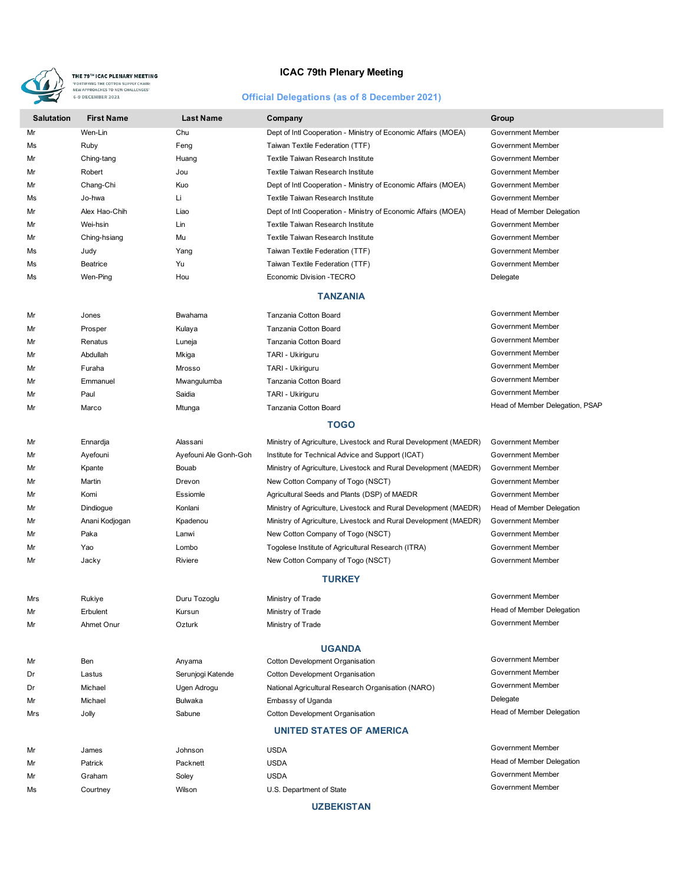

## **ICAC 79th Plenary Meeting**

## **Official Delegations (as of 8 December 2021)**

| <b>Salutation</b>               | <b>First Name</b> | <b>Last Name</b>      | Company                                                          | Group                           |  |  |  |
|---------------------------------|-------------------|-----------------------|------------------------------------------------------------------|---------------------------------|--|--|--|
| Mr                              | Wen-Lin           | Chu                   | Dept of Intl Cooperation - Ministry of Economic Affairs (MOEA)   | Government Member               |  |  |  |
| Ms                              | Ruby              | Feng                  | Taiwan Textile Federation (TTF)                                  | Government Member               |  |  |  |
| Mr                              | Ching-tang        | Huang                 | Textile Taiwan Research Institute                                | Government Member               |  |  |  |
| Mr                              | Robert            | Jou                   | Textile Taiwan Research Institute                                | Government Member               |  |  |  |
| Mr                              | Chang-Chi         | Kuo                   | Dept of Intl Cooperation - Ministry of Economic Affairs (MOEA)   | Government Member               |  |  |  |
| Ms                              | Jo-hwa            | Li                    | Textile Taiwan Research Institute                                | Government Member               |  |  |  |
| Mr                              | Alex Hao-Chih     | Liao                  | Dept of Intl Cooperation - Ministry of Economic Affairs (MOEA)   | Head of Member Delegation       |  |  |  |
| Mr                              | Wei-hsin          | Lin                   | Textile Taiwan Research Institute                                | Government Member               |  |  |  |
| Mr                              | Ching-hsiang      | Mu                    | Textile Taiwan Research Institute                                | Government Member               |  |  |  |
| Ms                              | Judy              | Yang                  | Taiwan Textile Federation (TTF)                                  | <b>Government Member</b>        |  |  |  |
| Ms                              | Beatrice          | Yu                    | Taiwan Textile Federation (TTF)                                  | Government Member               |  |  |  |
| Ms                              | Wen-Ping          | Hou                   | Economic Division - TECRO                                        | Delegate                        |  |  |  |
|                                 |                   |                       | <b>TANZANIA</b>                                                  |                                 |  |  |  |
| Mr                              | Jones             | Bwahama               | Tanzania Cotton Board                                            | Government Member               |  |  |  |
| Mr                              | Prosper           | Kulaya                | Tanzania Cotton Board                                            | Government Member               |  |  |  |
| Mr                              | Renatus           | Luneja                | Tanzania Cotton Board                                            | Government Member               |  |  |  |
| Mr                              | Abdullah          | Mkiga                 | TARI - Ukiriguru                                                 | Government Member               |  |  |  |
| Mr                              | Furaha            | Mrosso                | TARI - Ukiriguru                                                 | Government Member               |  |  |  |
| Mr                              | Emmanuel          | Mwangulumba           | Tanzania Cotton Board                                            | Government Member               |  |  |  |
| Mr                              | Paul              | Saidia                | TARI - Ukiriguru                                                 | Government Member               |  |  |  |
| Mr                              | Marco             | Mtunga                | Tanzania Cotton Board                                            | Head of Member Delegation, PSAP |  |  |  |
|                                 |                   |                       | <b>TOGO</b>                                                      |                                 |  |  |  |
| Mr                              | Ennardja          | Alassani              | Ministry of Agriculture, Livestock and Rural Development (MAEDR) | Government Member               |  |  |  |
| Mr                              | Ayefouni          | Ayefouni Ale Gonh-Goh | Institute for Technical Advice and Support (ICAT)                | Government Member               |  |  |  |
| Mr                              | Kpante            | Bouab                 | Ministry of Agriculture, Livestock and Rural Development (MAEDR) | Government Member               |  |  |  |
| Mr                              | Martin            | Drevon                | New Cotton Company of Togo (NSCT)                                | Government Member               |  |  |  |
| Mr                              | Komi              | Essiomle              | Agricultural Seeds and Plants (DSP) of MAEDR                     | Government Member               |  |  |  |
| Mr                              | Dindiogue         | Konlani               | Ministry of Agriculture, Livestock and Rural Development (MAEDR) | Head of Member Delegation       |  |  |  |
| Mr                              | Anani Kodjogan    | Kpadenou              | Ministry of Agriculture, Livestock and Rural Development (MAEDR) | Government Member               |  |  |  |
| Mr                              | Paka              | Lanwi                 | New Cotton Company of Togo (NSCT)                                | Government Member               |  |  |  |
| Mr                              | Yao               | Lombo                 | Togolese Institute of Agricultural Research (ITRA)               | Government Member               |  |  |  |
| Mr                              | Jacky             | Riviere               | New Cotton Company of Togo (NSCT)                                | Government Member               |  |  |  |
|                                 | <b>TURKEY</b>     |                       |                                                                  |                                 |  |  |  |
| Mrs                             | Rukiye            | Duru Tozoglu          | Ministry of Trade                                                | Government Member               |  |  |  |
| Mr                              | Erbulent          | Kursun                | Ministry of Trade                                                | Head of Member Delegation       |  |  |  |
| Mr                              | Ahmet Onur        | Ozturk                | Ministry of Trade                                                | Government Member               |  |  |  |
| <b>UGANDA</b>                   |                   |                       |                                                                  |                                 |  |  |  |
| Mr                              | Ben               | Anyama                | <b>Cotton Development Organisation</b>                           | Government Member               |  |  |  |
| Dr                              | Lastus            | Serunjogi Katende     | Cotton Development Organisation                                  | Government Member               |  |  |  |
| Dr                              | Michael           | Ugen Adrogu           | National Agricultural Research Organisation (NARO)               | Government Member               |  |  |  |
| Mr                              | Michael           | <b>Bulwaka</b>        | Embassy of Uganda                                                | Delegate                        |  |  |  |
| Mrs                             | Jolly             | Sabune                | Cotton Development Organisation                                  | Head of Member Delegation       |  |  |  |
| <b>UNITED STATES OF AMERICA</b> |                   |                       |                                                                  |                                 |  |  |  |
| Mr                              | James             | Johnson               | <b>USDA</b>                                                      | Government Member               |  |  |  |
| Mr                              | Patrick           | Packnett              | <b>USDA</b>                                                      | Head of Member Delegation       |  |  |  |
| Mr                              | Graham            | Soley                 | <b>USDA</b>                                                      | Government Member               |  |  |  |
| Ms                              | Courtney          | Wilson                | U.S. Department of State                                         | Government Member               |  |  |  |
|                                 |                   |                       |                                                                  |                                 |  |  |  |

**UZBEKISTAN**